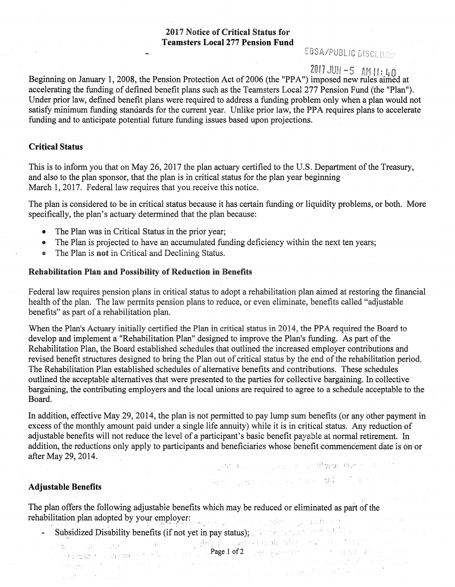# 2017 Notice of Critical Status for **Teamsters Local 277 Pension Fund**

# EBSA/PUBLIC DISCLOSUA

# $2017$  JUN -5 AM II : 40

Beginning on January 1, 2008, the Pension Protection Act of 2006 (the "PPA") imposed new rules aimed at accelerating the funding of defined benefit plans such as the Teamsters Local 277 Pension Fund (the "Plan"). Under prior law, defined benefit plans were required to address a funding problem only when a plan would not satisfy minimum funding standards for the current year. Unlike prior law, the PPA requires plans to accelerate funding and to anticipate potential future funding issues based upon projections.

## **Critical** Status

This is to inform you that on May 26, 2017 the plan actuary certified to the U.S. Department of the Treasury, and also to the plan sponsor, that the plan is in critical status for the plan year beginning March 1, 2017. Federal law requires that you receive this notice.

The plan is considered to be in critical status because it has certain funding or liquidity problems, or both. More specifically, the plan's actuary determined that the plan because:

- The Plan was in Critical Status in the prior year;
- $\bullet$  The Plan is projected to have an accumulated funding deficiency within the next ten years;
- The Plan is not in Critical and Declining Status.

## Rehabilitation Plan and Possibility of Reduction in Benefits

Federal law requires pension plans in critical status to adopt a rehabilitation plan aimed at restoring the financial health of the plan. The law permits pension plans to reduce, or even eliminate, benefits called "adjustable benefits" as part of a rehabilitation plan.

When the Plan's Actuary initially certified the Plan in critical status in 2014, the PPA required the Board to develop and implement a "Rehabilitation Plan" designed to improve the Plan's funding. As part of the Rehabilitation Plan, the Board established schedules that outlined the increased employer contributions and revised benefit structures designed to bring the Plan out of critical status by the end of the rehabilitation period. The Rehabilitation Plan established schedules of alternative benefits and contributions. These schedules outlined the acceptable alternatives that were presented to the parties for collective bargaining. In collective bargaining, the contributing employers and the local unions are required to agree to a schedule acceptable to the Board.

In addition, effective May 29, 2014, the plan is not permitted to pay lump sum benefits (or any other payment in excess of the monthly amount paid under a single life annuity) while it is in critical status. Any reduction of adjustable benefits will not reduce the level of a participant's basic benefit payable at normal retirement. In addition, the reductions only apply to participants and beneficiaries whose benefit commencement date is on or after May 29, 2014. s est de la proporción le Goreo due de la

ा।<br>संबंधित अधिकार स्थितिक सम्बन्धित को स्थिति होती है ।

a sa katalog na mga mga kalawigan.<br>Nga mga mga katalog ng katika siyas

# **Adjustable Benefits**

 $\label{eq:2} \frac{1}{\sqrt{2\pi}}\left(\frac{1}{\sqrt{2\pi}}\frac{\sqrt{2\pi}}{2}\right)^{2}$ 

The plan offers the following adjustable benefits which may be reduced or eliminated as part of the rehabilitation plan adopted by your employer: in all announces when the influence

Subsidized Disability benefits (if not yet in pay status); and we have status of satisfied on the status of  $\sim$ PageJ of2

i da kelimatan di sebagai sebagai sebagai sebagai sebagai sebagai sebagai sebagai sebagai sebagai sebagai seba<br>Kelimatan dan pada sebagai sebagai sebagai sebagai sebagai sebagai sebagai sebagai sebagai sebagai sebagai seb